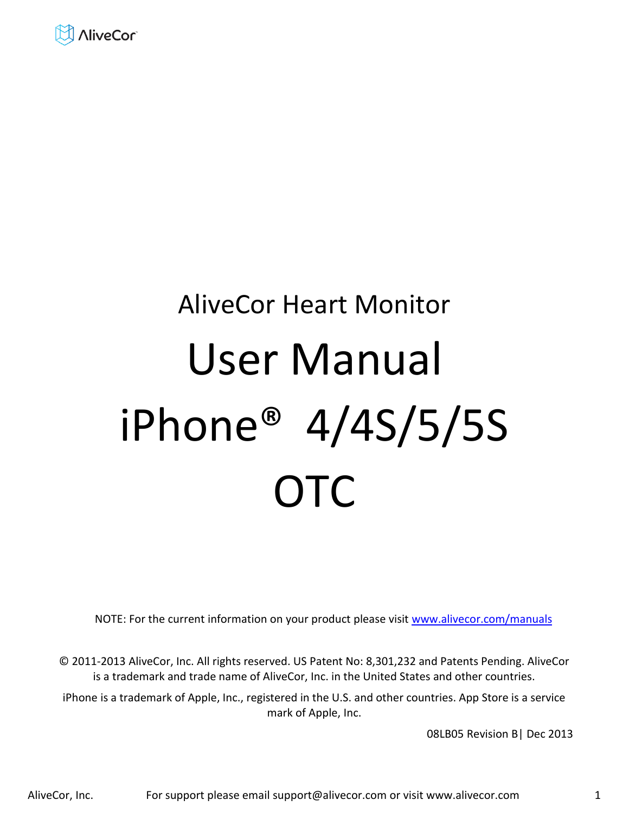

# AliveCor Heart Monitor User Manual iPhone® 4/4S/5/5S **OTC**

NOTE: For the current information on your product please visit [www.alivecor.com/manuals](http://www.alivecor.com/manuals) 

© 2011-2013 AliveCor, Inc. All rights reserved. US Patent No: 8,301,232 and Patents Pending. AliveCor is a trademark and trade name of AliveCor, Inc. in the United States and other countries.

iPhone is a trademark of Apple, Inc., registered in the U.S. and other countries. App Store is a service mark of Apple, Inc.

08LB05 Revision B| Dec 2013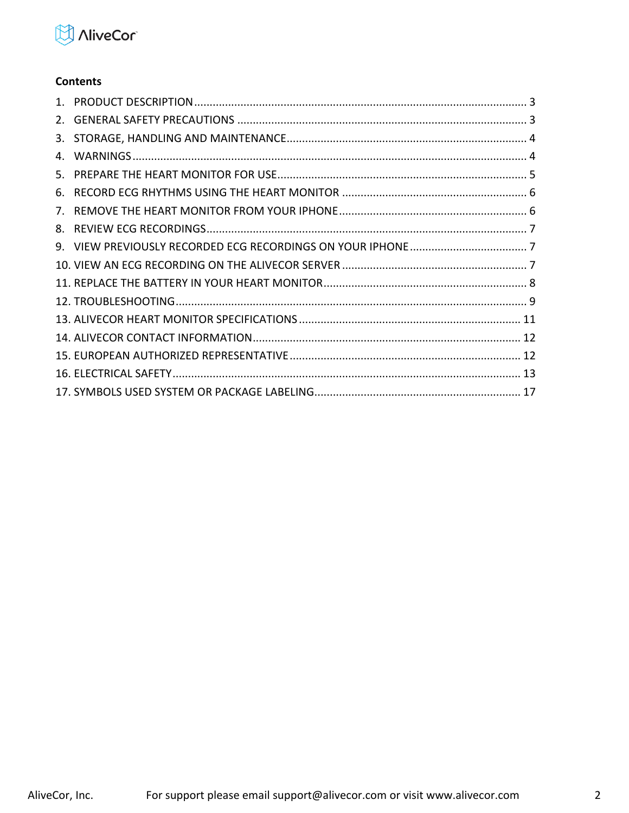

# **Contents**

| 4.          |  |
|-------------|--|
|             |  |
|             |  |
| $7_{\cdot}$ |  |
|             |  |
|             |  |
|             |  |
|             |  |
|             |  |
|             |  |
|             |  |
|             |  |
|             |  |
|             |  |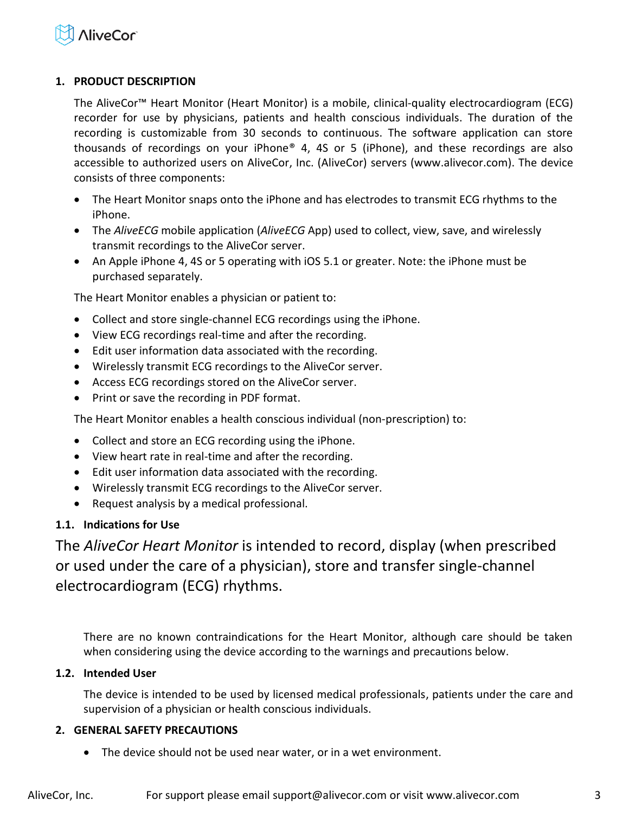

#### <span id="page-2-0"></span>**1. PRODUCT DESCRIPTION**

The AliveCor™ Heart Monitor (Heart Monitor) is a mobile, clinical-quality electrocardiogram (ECG) recorder for use by physicians, patients and health conscious individuals. The duration of the recording is customizable from 30 seconds to continuous. The software application can store thousands of recordings on your iPhone® 4, 4S or 5 (iPhone), and these recordings are also accessible to authorized users on AliveCor, Inc. (AliveCor) servers (www.alivecor.com). The device consists of three components:

- The Heart Monitor snaps onto the iPhone and has electrodes to transmit ECG rhythms to the iPhone.
- The *AliveECG* mobile application (*AliveECG* App) used to collect, view, save, and wirelessly transmit recordings to the AliveCor server.
- An Apple iPhone 4, 4S or 5 operating with iOS 5.1 or greater. Note: the iPhone must be purchased separately.

The Heart Monitor enables a physician or patient to:

- Collect and store single-channel ECG recordings using the iPhone.
- View ECG recordings real-time and after the recording.
- Edit user information data associated with the recording.
- Wirelessly transmit ECG recordings to the AliveCor server.
- Access ECG recordings stored on the AliveCor server.
- Print or save the recording in PDF format.

The Heart Monitor enables a health conscious individual (non-prescription) to:

- Collect and store an ECG recording using the iPhone.
- View heart rate in real-time and after the recording.
- Edit user information data associated with the recording.
- Wirelessly transmit ECG recordings to the AliveCor server.
- Request analysis by a medical professional.

#### **1.1. Indications for Use**

The *AliveCor Heart Monitor* is intended to record, display (when prescribed or used under the care of a physician), store and transfer single‐channel electrocardiogram (ECG) rhythms.

There are no known contraindications for the Heart Monitor, although care should be taken when considering using the device according to the warnings and precautions below.

#### **1.2. Intended User**

The device is intended to be used by licensed medical professionals, patients under the care and supervision of a physician or health conscious individuals.

#### <span id="page-2-1"></span>**2. GENERAL SAFETY PRECAUTIONS**

The device should not be used near water, or in a wet environment.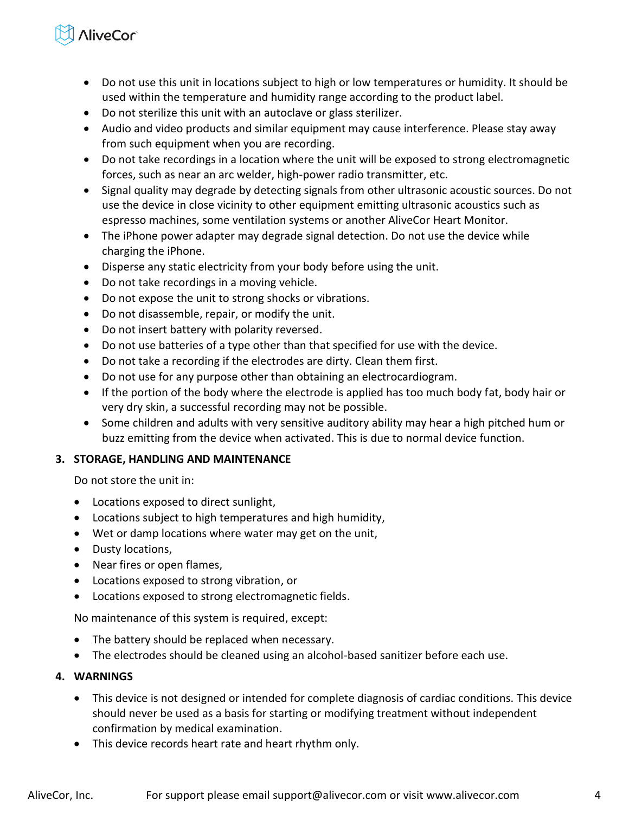# **NiveCor**

- Do not use this unit in locations subject to high or low temperatures or humidity. It should be used within the temperature and humidity range according to the product label.
- Do not sterilize this unit with an autoclave or glass sterilizer.
- Audio and video products and similar equipment may cause interference. Please stay away from such equipment when you are recording.
- Do not take recordings in a location where the unit will be exposed to strong electromagnetic forces, such as near an arc welder, high-power radio transmitter, etc.
- Signal quality may degrade by detecting signals from other ultrasonic acoustic sources. Do not use the device in close vicinity to other equipment emitting ultrasonic acoustics such as espresso machines, some ventilation systems or another AliveCor Heart Monitor.
- The iPhone power adapter may degrade signal detection. Do not use the device while charging the iPhone.
- Disperse any static electricity from your body before using the unit.
- Do not take recordings in a moving vehicle.
- Do not expose the unit to strong shocks or vibrations.
- Do not disassemble, repair, or modify the unit.
- Do not insert battery with polarity reversed.
- Do not use batteries of a type other than that specified for use with the device.
- Do not take a recording if the electrodes are dirty. Clean them first.
- Do not use for any purpose other than obtaining an electrocardiogram.
- If the portion of the body where the electrode is applied has too much body fat, body hair or very dry skin, a successful recording may not be possible.
- Some children and adults with very sensitive auditory ability may hear a high pitched hum or buzz emitting from the device when activated. This is due to normal device function.

# <span id="page-3-0"></span>**3. STORAGE, HANDLING AND MAINTENANCE**

Do not store the unit in:

- Locations exposed to direct sunlight,
- Locations subject to high temperatures and high humidity,
- Wet or damp locations where water may get on the unit,
- Dusty locations,
- Near fires or open flames,
- Locations exposed to strong vibration, or
- Locations exposed to strong electromagnetic fields.

No maintenance of this system is required, except:

- The battery should be replaced when necessary.
- The electrodes should be cleaned using an alcohol-based sanitizer before each use.

# <span id="page-3-1"></span>**4. WARNINGS**

- This device is not designed or intended for complete diagnosis of cardiac conditions. This device should never be used as a basis for starting or modifying treatment without independent confirmation by medical examination.
- This device records heart rate and heart rhythm only.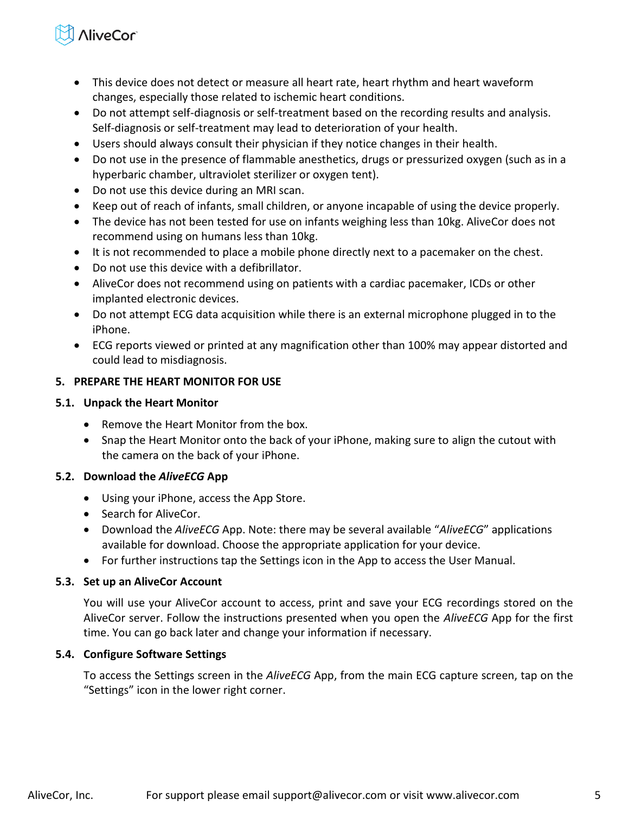# **NiveCor**

- This device does not detect or measure all heart rate, heart rhythm and heart waveform changes, especially those related to ischemic heart conditions.
- Do not attempt self-diagnosis or self-treatment based on the recording results and analysis. Self-diagnosis or self-treatment may lead to deterioration of your health.
- Users should always consult their physician if they notice changes in their health.
- Do not use in the presence of flammable anesthetics, drugs or pressurized oxygen (such as in a hyperbaric chamber, ultraviolet sterilizer or oxygen tent).
- Do not use this device during an MRI scan.
- Keep out of reach of infants, small children, or anyone incapable of using the device properly.
- The device has not been tested for use on infants weighing less than 10kg. AliveCor does not recommend using on humans less than 10kg.
- It is not recommended to place a mobile phone directly next to a pacemaker on the chest.
- Do not use this device with a defibrillator.
- AliveCor does not recommend using on patients with a cardiac pacemaker, ICDs or other implanted electronic devices.
- Do not attempt ECG data acquisition while there is an external microphone plugged in to the iPhone.
- ECG reports viewed or printed at any magnification other than 100% may appear distorted and could lead to misdiagnosis.

# <span id="page-4-0"></span>**5. PREPARE THE HEART MONITOR FOR USE**

# **5.1. Unpack the Heart Monitor**

- Remove the Heart Monitor from the box.
- Snap the Heart Monitor onto the back of your iPhone, making sure to align the cutout with the camera on the back of your iPhone.

# **5.2. Download the** *AliveECG* **App**

- Using your iPhone, access the App Store.
- Search for AliveCor.
- **Download the** *AliveECG* App. Note: there may be several available "*AliveECG*" applications available for download. Choose the appropriate application for your device.
- For further instructions tap the Settings icon in the App to access the User Manual.

# **5.3. Set up an AliveCor Account**

You will use your AliveCor account to access, print and save your ECG recordings stored on the AliveCor server. Follow the instructions presented when you open the *AliveECG* App for the first time. You can go back later and change your information if necessary.

# **5.4. Configure Software Settings**

To access the Settings screen in the *AliveECG* App, from the main ECG capture screen, tap on the ͞Settings͟ icon in the lower right corner.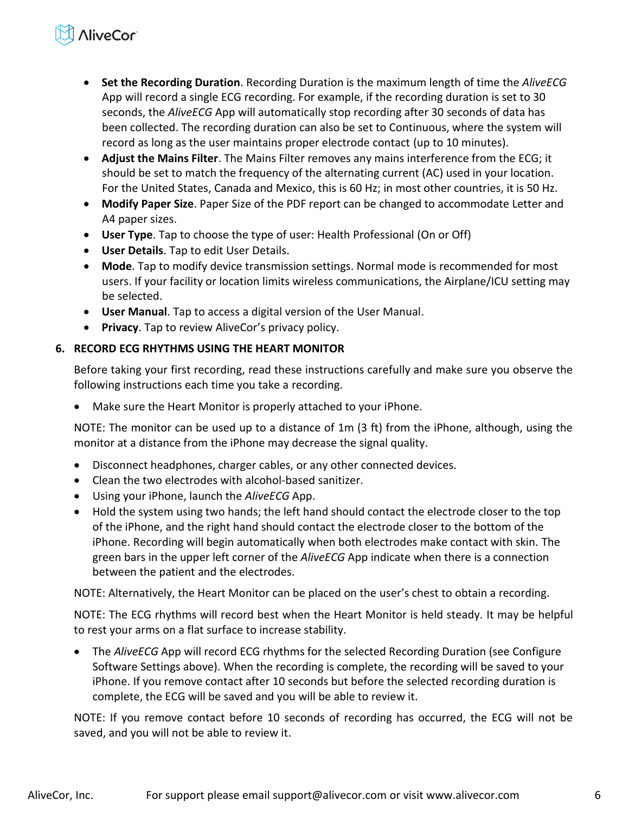# **NiveCor**

- **Set the Recording Duration**. Recording Duration is the maximum length of time the *AliveECG* App will record a single ECG recording. For example, if the recording duration is set to 30 seconds, the *AliveECG* App will automatically stop recording after 30 seconds of data has been collected. The recording duration can also be set to Continuous, where the system will record as long as the user maintains proper electrode contact (up to 10 minutes).
- **Adjust the Mains Filter**. The Mains Filter removes any mains interference from the ECG; it should be set to match the frequency of the alternating current (AC) used in your location. For the United States, Canada and Mexico, this is 60 Hz; in most other countries, it is 50 Hz.
- **Modify Paper Size**. Paper Size of the PDF report can be changed to accommodate Letter and A4 paper sizes.
- **User Type**. Tap to choose the type of user: Health Professional (On or Off)
- **User Details**. Tap to edit User Details.
- **Mode**. Tap to modify device transmission settings. Normal mode is recommended for most users. If your facility or location limits wireless communications, the Airplane/ICU setting may be selected.
- **User Manual**. Tap to access a digital version of the User Manual.
- **Privacy**. Tap to review AliveCor's privacy policy.

## <span id="page-5-0"></span>**6. RECORD ECG RHYTHMS USING THE HEART MONITOR**

Before taking your first recording, read these instructions carefully and make sure you observe the following instructions each time you take a recording.

Make sure the Heart Monitor is properly attached to your iPhone.

NOTE: The monitor can be used up to a distance of 1m (3 ft) from the iPhone, although, using the monitor at a distance from the iPhone may decrease the signal quality.

- Disconnect headphones, charger cables, or any other connected devices.
- Clean the two electrodes with alcohol-based sanitizer.
- Using your iPhone, launch the *AliveECG* App.
- Hold the system using two hands; the left hand should contact the electrode closer to the top of the iPhone, and the right hand should contact the electrode closer to the bottom of the iPhone. Recording will begin automatically when both electrodes make contact with skin. The green bars in the upper left corner of the *AliveECG* App indicate when there is a connection between the patient and the electrodes.

NOTE: Alternatively, the Heart Monitor can be placed on the user's chest to obtain a recording.

NOTE: The ECG rhythms will record best when the Heart Monitor is held steady. It may be helpful to rest your arms on a flat surface to increase stability.

 The *AliveECG* App will record ECG rhythms for the selected Recording Duration (see Configure Software Settings above). When the recording is complete, the recording will be saved to your iPhone. If you remove contact after 10 seconds but before the selected recording duration is complete, the ECG will be saved and you will be able to review it.

NOTE: If you remove contact before 10 seconds of recording has occurred, the ECG will not be saved, and you will not be able to review it.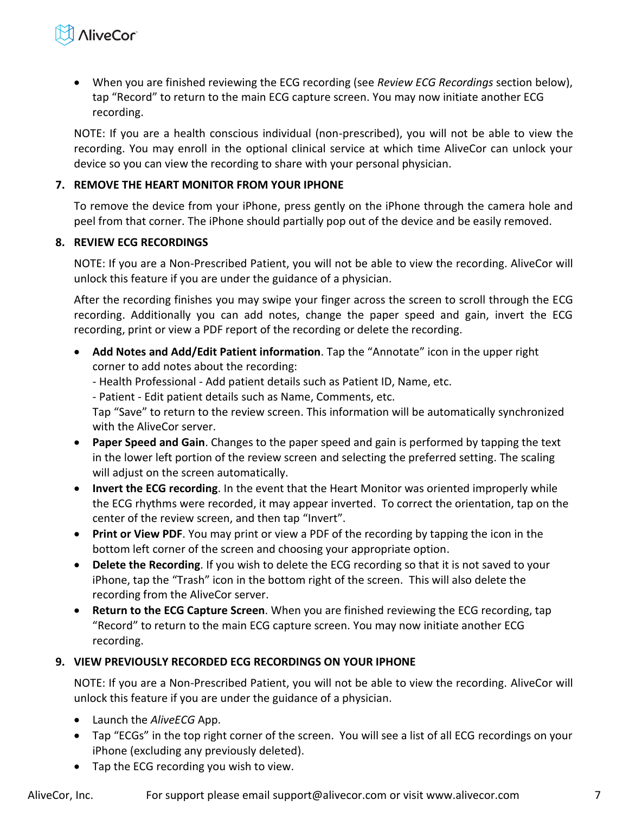

 When you are finished reviewing the ECG recording (see *Review ECG Recordings* section below), tap "Record" to return to the main ECG capture screen. You may now initiate another ECG recording.

NOTE: If you are a health conscious individual (non-prescribed), you will not be able to view the recording. You may enroll in the optional clinical service at which time AliveCor can unlock your device so you can view the recording to share with your personal physician.

#### <span id="page-6-0"></span>**7. REMOVE THE HEART MONITOR FROM YOUR IPHONE**

To remove the device from your iPhone, press gently on the iPhone through the camera hole and peel from that corner. The iPhone should partially pop out of the device and be easily removed.

#### <span id="page-6-1"></span>**8. REVIEW ECG RECORDINGS**

NOTE: If you are a Non-Prescribed Patient, you will not be able to view the recording. AliveCor will unlock this feature if you are under the guidance of a physician.

After the recording finishes you may swipe your finger across the screen to scroll through the ECG recording. Additionally you can add notes, change the paper speed and gain, invert the ECG recording, print or view a PDF report of the recording or delete the recording.

- **Add Notes and Add/Edit Patient information**. Tap the "Annotate" icon in the upper right corner to add notes about the recording:
	- Health Professional Add patient details such as Patient ID, Name, etc.
	- Patient Edit patient details such as Name, Comments, etc.

Tap "Save" to return to the review screen. This information will be automatically synchronized with the AliveCor server.

- **Paper Speed and Gain**. Changes to the paper speed and gain is performed by tapping the text in the lower left portion of the review screen and selecting the preferred setting. The scaling will adjust on the screen automatically.
- **Invert the ECG recording**. In the event that the Heart Monitor was oriented improperly while the ECG rhythms were recorded, it may appear inverted. To correct the orientation, tap on the center of the review screen, and then tap "Invert".
- **Print or View PDF**. You may print or view a PDF of the recording by tapping the icon in the bottom left corner of the screen and choosing your appropriate option.
- **Delete the Recording**. If you wish to delete the ECG recording so that it is not saved to your iPhone, tap the "Trash" icon in the bottom right of the screen. This will also delete the recording from the AliveCor server.
- **Return to the ECG Capture Screen**. When you are finished reviewing the ECG recording, tap ͞Record͟ to return to the main ECG capture screen. You may now initiate another ECG recording.

#### <span id="page-6-2"></span>**9. VIEW PREVIOUSLY RECORDED ECG RECORDINGS ON YOUR IPHONE**

NOTE: If you are a Non-Prescribed Patient, you will not be able to view the recording. AliveCor will unlock this feature if you are under the guidance of a physician.

- Launch the *AliveECG* App.
- Tap "ECGs" in the top right corner of the screen. You will see a list of all ECG recordings on your iPhone (excluding any previously deleted).
- Tap the ECG recording you wish to view.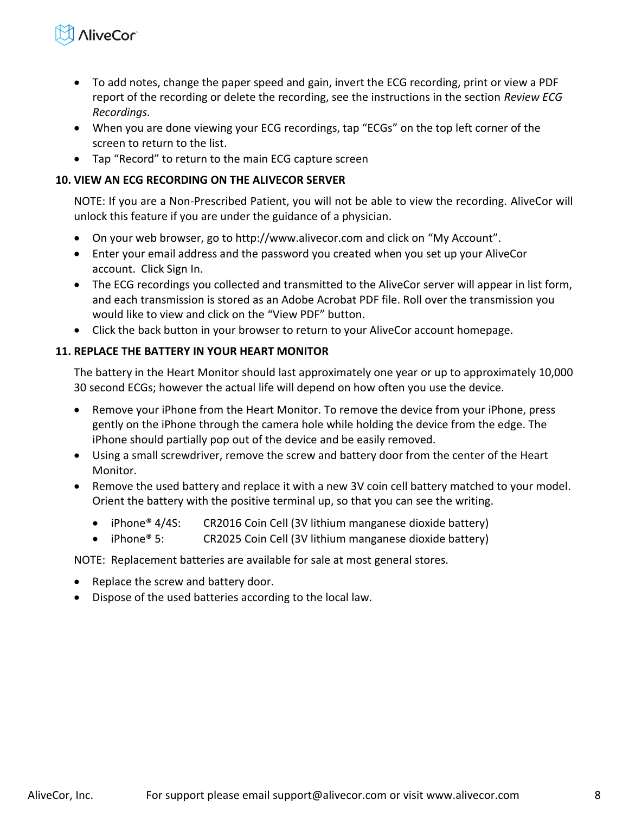

- To add notes, change the paper speed and gain, invert the ECG recording, print or view a PDF report of the recording or delete the recording, see the instructions in the section *Review ECG Recordings.*
- When you are done viewing your ECG recordings, tap "ECGs" on the top left corner of the screen to return to the list.
- Tap "Record" to return to the main ECG capture screen

## <span id="page-7-0"></span>**10. VIEW AN ECG RECORDING ON THE ALIVECOR SERVER**

NOTE: If you are a Non-Prescribed Patient, you will not be able to view the recording. AliveCor will unlock this feature if you are under the guidance of a physician.

- On your web browser, go to http://www.alivecor.com and click on "My Account".
- Enter your email address and the password you created when you set up your AliveCor account. Click Sign In.
- The ECG recordings you collected and transmitted to the AliveCor server will appear in list form, and each transmission is stored as an Adobe Acrobat PDF file. Roll over the transmission you would like to view and click on the "View PDF" button.
- Click the back button in your browser to return to your AliveCor account homepage.

## <span id="page-7-1"></span>**11. REPLACE THE BATTERY IN YOUR HEART MONITOR**

The battery in the Heart Monitor should last approximately one year or up to approximately 10,000 30 second ECGs; however the actual life will depend on how often you use the device.

- Remove your iPhone from the Heart Monitor. To remove the device from your iPhone, press gently on the iPhone through the camera hole while holding the device from the edge. The iPhone should partially pop out of the device and be easily removed.
- Using a small screwdriver, remove the screw and battery door from the center of the Heart Monitor.
- Remove the used battery and replace it with a new 3V coin cell battery matched to your model. Orient the battery with the positive terminal up, so that you can see the writing.
	- iPhone<sup>®</sup> 4/4S: CR2016 Coin Cell (3V lithium manganese dioxide battery)
	- iPhone<sup>®</sup> 5: CR2025 Coin Cell (3V lithium manganese dioxide battery)

NOTE: Replacement batteries are available for sale at most general stores.

- Replace the screw and battery door.
- Dispose of the used batteries according to the local law.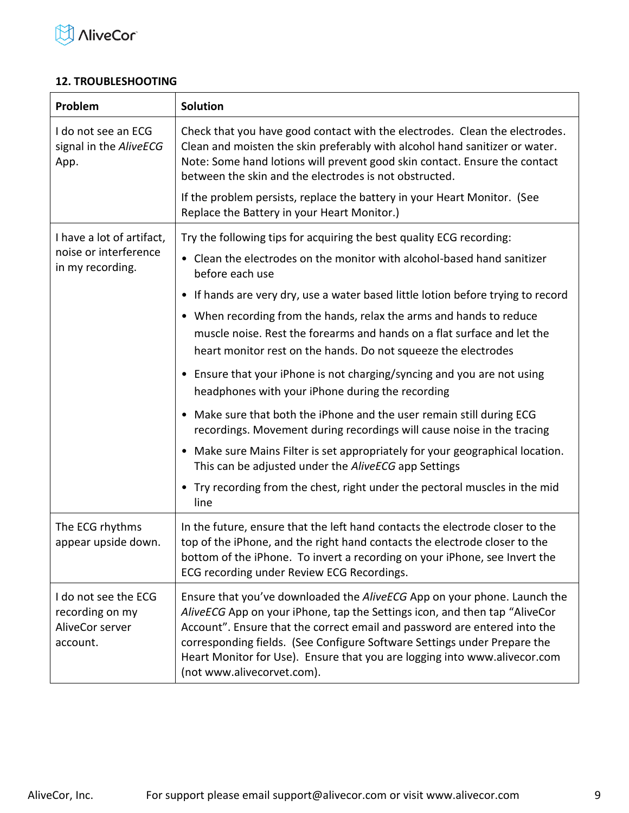

#### <span id="page-8-0"></span>**12. TROUBLESHOOTING**

| Problem                                                                | <b>Solution</b>                                                                                                                                                                                                                                                                                                                                                                                                            |  |  |  |
|------------------------------------------------------------------------|----------------------------------------------------------------------------------------------------------------------------------------------------------------------------------------------------------------------------------------------------------------------------------------------------------------------------------------------------------------------------------------------------------------------------|--|--|--|
| I do not see an ECG<br>signal in the AliveECG<br>App.                  | Check that you have good contact with the electrodes. Clean the electrodes.<br>Clean and moisten the skin preferably with alcohol hand sanitizer or water.<br>Note: Some hand lotions will prevent good skin contact. Ensure the contact<br>between the skin and the electrodes is not obstructed.                                                                                                                         |  |  |  |
|                                                                        | If the problem persists, replace the battery in your Heart Monitor. (See<br>Replace the Battery in your Heart Monitor.)                                                                                                                                                                                                                                                                                                    |  |  |  |
| I have a lot of artifact,                                              | Try the following tips for acquiring the best quality ECG recording:                                                                                                                                                                                                                                                                                                                                                       |  |  |  |
| noise or interference<br>in my recording.                              | • Clean the electrodes on the monitor with alcohol-based hand sanitizer<br>before each use                                                                                                                                                                                                                                                                                                                                 |  |  |  |
|                                                                        | • If hands are very dry, use a water based little lotion before trying to record                                                                                                                                                                                                                                                                                                                                           |  |  |  |
|                                                                        | • When recording from the hands, relax the arms and hands to reduce<br>muscle noise. Rest the forearms and hands on a flat surface and let the<br>heart monitor rest on the hands. Do not squeeze the electrodes                                                                                                                                                                                                           |  |  |  |
|                                                                        | • Ensure that your iPhone is not charging/syncing and you are not using<br>headphones with your iPhone during the recording                                                                                                                                                                                                                                                                                                |  |  |  |
|                                                                        | • Make sure that both the iPhone and the user remain still during ECG<br>recordings. Movement during recordings will cause noise in the tracing                                                                                                                                                                                                                                                                            |  |  |  |
|                                                                        | • Make sure Mains Filter is set appropriately for your geographical location.<br>This can be adjusted under the AliveECG app Settings                                                                                                                                                                                                                                                                                      |  |  |  |
|                                                                        | • Try recording from the chest, right under the pectoral muscles in the mid<br>line                                                                                                                                                                                                                                                                                                                                        |  |  |  |
| The ECG rhythms<br>appear upside down.                                 | In the future, ensure that the left hand contacts the electrode closer to the<br>top of the iPhone, and the right hand contacts the electrode closer to the<br>bottom of the iPhone. To invert a recording on your iPhone, see Invert the<br>ECG recording under Review ECG Recordings.                                                                                                                                    |  |  |  |
| I do not see the ECG<br>recording on my<br>AliveCor server<br>account. | Ensure that you've downloaded the AliveECG App on your phone. Launch the<br>AliveECG App on your iPhone, tap the Settings icon, and then tap "AliveCor<br>Account". Ensure that the correct email and password are entered into the<br>corresponding fields. (See Configure Software Settings under Prepare the<br>Heart Monitor for Use). Ensure that you are logging into www.alivecor.com<br>(not www.alivecorvet.com). |  |  |  |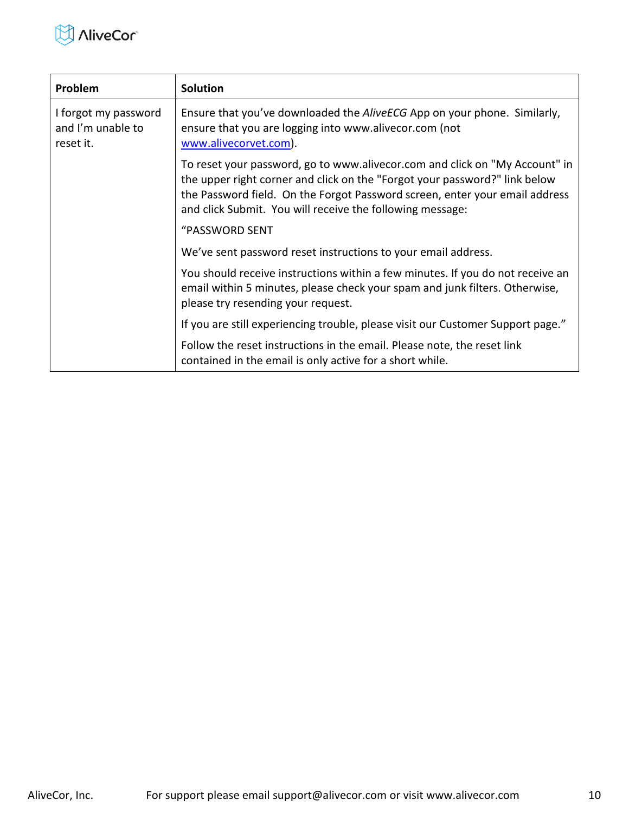

| Problem                                                | <b>Solution</b>                                                                                                                                                                                                                                                                                       |
|--------------------------------------------------------|-------------------------------------------------------------------------------------------------------------------------------------------------------------------------------------------------------------------------------------------------------------------------------------------------------|
| I forgot my password<br>and I'm unable to<br>reset it. | Ensure that you've downloaded the AliveECG App on your phone. Similarly,<br>ensure that you are logging into www.alivecor.com (not<br>www.alivecorvet.com).                                                                                                                                           |
|                                                        | To reset your password, go to www.alivecor.com and click on "My Account" in<br>the upper right corner and click on the "Forgot your password?" link below<br>the Password field. On the Forgot Password screen, enter your email address<br>and click Submit. You will receive the following message: |
|                                                        | "PASSWORD SENT                                                                                                                                                                                                                                                                                        |
|                                                        | We've sent password reset instructions to your email address.                                                                                                                                                                                                                                         |
|                                                        | You should receive instructions within a few minutes. If you do not receive an<br>email within 5 minutes, please check your spam and junk filters. Otherwise,<br>please try resending your request.                                                                                                   |
|                                                        | If you are still experiencing trouble, please visit our Customer Support page."                                                                                                                                                                                                                       |
|                                                        | Follow the reset instructions in the email. Please note, the reset link<br>contained in the email is only active for a short while.                                                                                                                                                                   |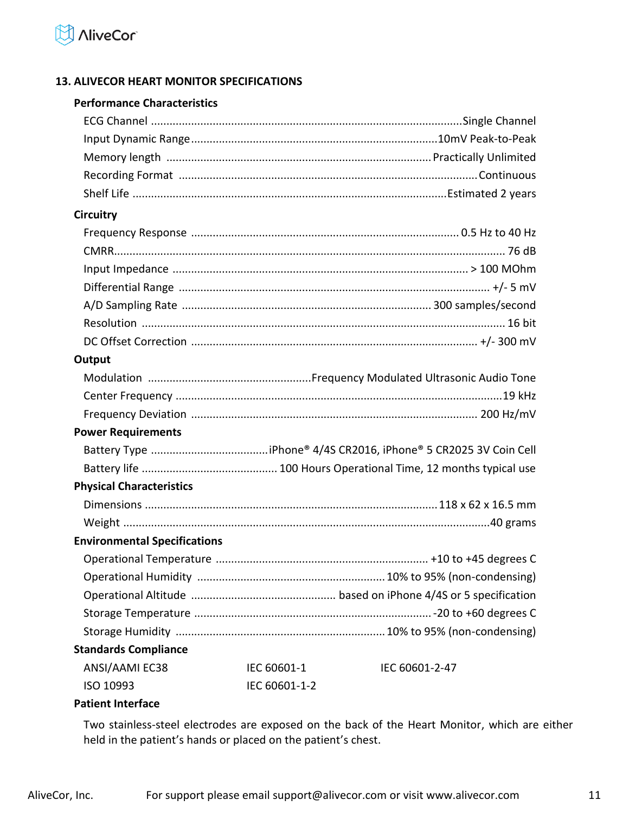

## <span id="page-10-0"></span>**13. ALIVECOR HEART MONITOR SPECIFICATIONS**

#### **Performance Characteristics**

| <b>Circuitry</b>                    |               |                |
|-------------------------------------|---------------|----------------|
|                                     |               |                |
|                                     |               |                |
|                                     |               |                |
|                                     |               |                |
|                                     |               |                |
|                                     |               |                |
|                                     |               |                |
| Output                              |               |                |
|                                     |               |                |
|                                     |               |                |
|                                     |               |                |
| <b>Power Requirements</b>           |               |                |
|                                     |               |                |
|                                     |               |                |
| <b>Physical Characteristics</b>     |               |                |
|                                     |               |                |
|                                     |               |                |
| <b>Environmental Specifications</b> |               |                |
|                                     |               |                |
|                                     |               |                |
|                                     |               |                |
|                                     |               |                |
|                                     |               |                |
| <b>Standards Compliance</b>         |               |                |
| ANSI/AAMI EC38                      | IEC 60601-1   | IEC 60601-2-47 |
| ISO 10993                           | IEC 60601-1-2 |                |
|                                     |               |                |

#### **Patient Interface**

Two stainless-steel electrodes are exposed on the back of the Heart Monitor, which are either held in the patient's hands or placed on the patient's chest.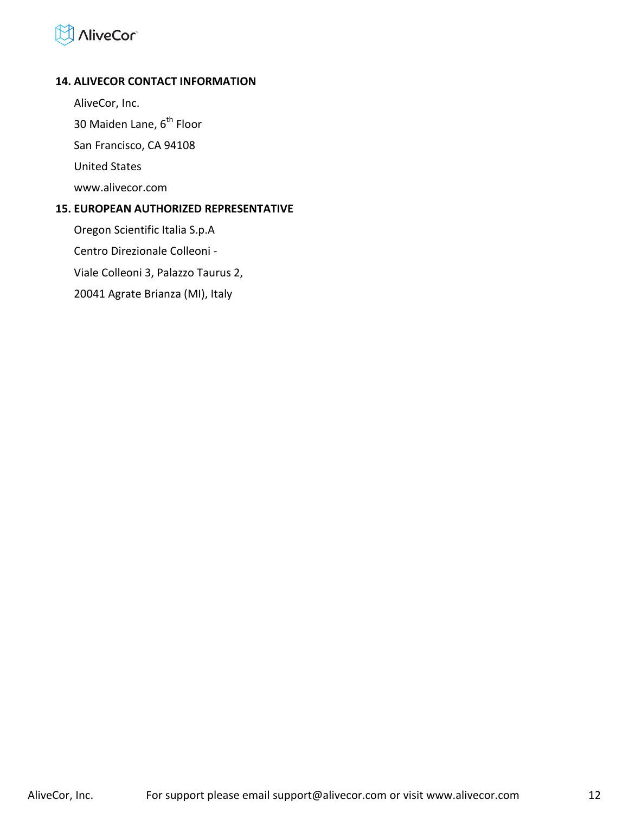# **AliveCor**

#### <span id="page-11-0"></span>**14. ALIVECOR CONTACT INFORMATION**

AliveCor, Inc.

30 Maiden Lane, 6<sup>th</sup> Floor

San Francisco, CA 94108

United States

www.alivecor.com

#### <span id="page-11-1"></span>**15. EUROPEAN AUTHORIZED REPRESENTATIVE**

Oregon Scientific Italia S.p.A Centro Direzionale Colleoni - Viale Colleoni 3, Palazzo Taurus 2, 20041 Agrate Brianza (MI), Italy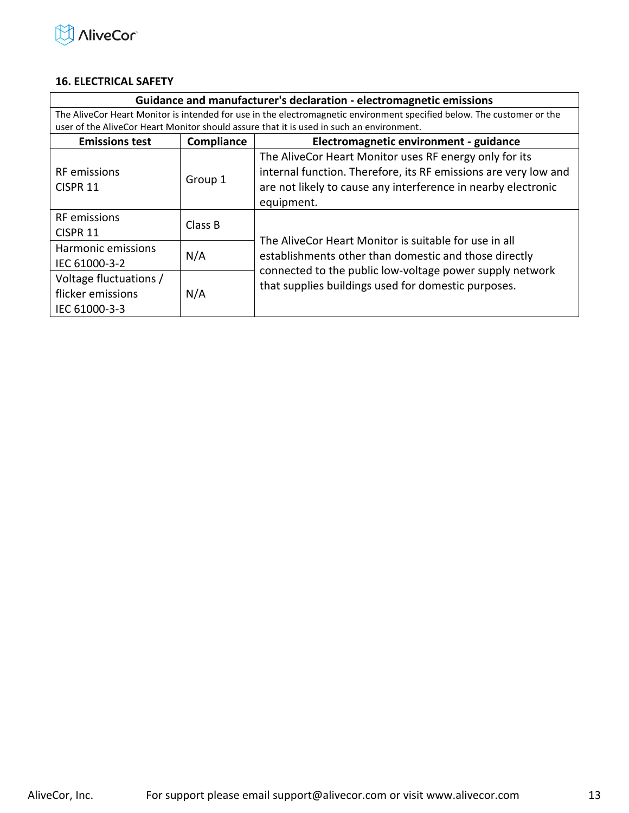

#### <span id="page-12-0"></span>**16. ELECTRICAL SAFETY**

| Guidance and manufacturer's declaration - electromagnetic emissions                                                    |            |                                                                                          |  |
|------------------------------------------------------------------------------------------------------------------------|------------|------------------------------------------------------------------------------------------|--|
| The AliveCor Heart Monitor is intended for use in the electromagnetic environment specified below. The customer or the |            |                                                                                          |  |
|                                                                                                                        |            | user of the AliveCor Heart Monitor should assure that it is used in such an environment. |  |
| <b>Emissions test</b>                                                                                                  | Compliance | Electromagnetic environment - guidance                                                   |  |
|                                                                                                                        |            | The AliveCor Heart Monitor uses RF energy only for its                                   |  |
| <b>RF</b> emissions                                                                                                    | Group 1    | internal function. Therefore, its RF emissions are very low and                          |  |
| CISPR <sub>11</sub>                                                                                                    |            | are not likely to cause any interference in nearby electronic                            |  |
|                                                                                                                        |            | equipment.                                                                               |  |
| <b>RF</b> emissions                                                                                                    |            |                                                                                          |  |
| CISPR 11                                                                                                               | Class B    | The AliveCor Heart Monitor is suitable for use in all                                    |  |
| Harmonic emissions                                                                                                     |            |                                                                                          |  |
| N/A<br>IEC 61000-3-2                                                                                                   |            | establishments other than domestic and those directly                                    |  |
| Voltage fluctuations /<br>flicker emissions<br>N/A                                                                     |            | connected to the public low-voltage power supply network                                 |  |
|                                                                                                                        |            | that supplies buildings used for domestic purposes.                                      |  |
| IEC 61000-3-3                                                                                                          |            |                                                                                          |  |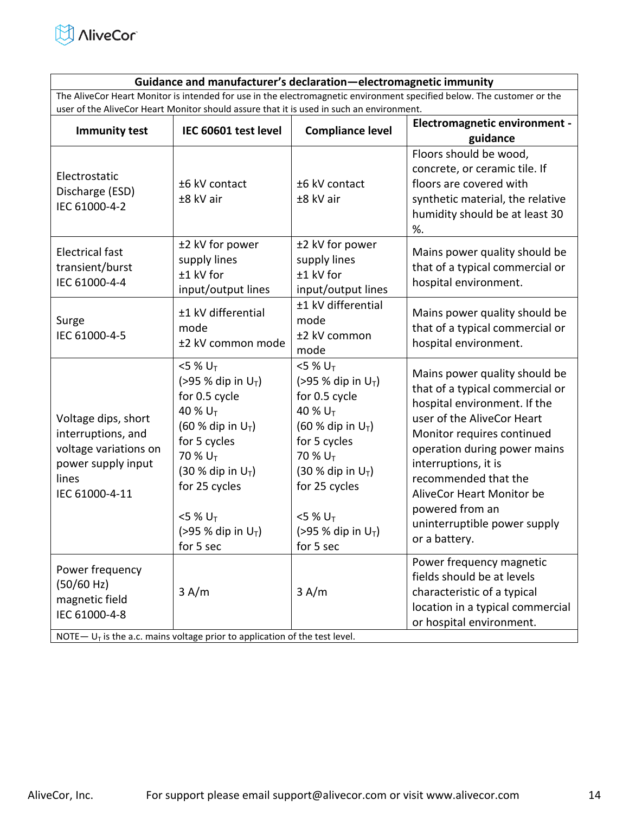

#### **Guidance and manufacturer's declaration—electromagnetic immunity**

The AliveCor Heart Monitor is intended for use in the electromagnetic environment specified below. The customer or the user of the AliveCor Heart Monitor should assure that it is used in such an environment.

| <b>Immunity test</b>                                                                                                | IEC 60601 test level                                                                                                                                                                                                                                                  | <b>Compliance level</b>                                                                                                                                                                                                                     | <b>Electromagnetic environment -</b><br>guidance                                                                                                                                                                                                                                                                                              |
|---------------------------------------------------------------------------------------------------------------------|-----------------------------------------------------------------------------------------------------------------------------------------------------------------------------------------------------------------------------------------------------------------------|---------------------------------------------------------------------------------------------------------------------------------------------------------------------------------------------------------------------------------------------|-----------------------------------------------------------------------------------------------------------------------------------------------------------------------------------------------------------------------------------------------------------------------------------------------------------------------------------------------|
| Electrostatic<br>Discharge (ESD)<br>IEC 61000-4-2                                                                   | ±6 kV contact<br>±8 kV air                                                                                                                                                                                                                                            | ±6 kV contact<br>±8 kV air                                                                                                                                                                                                                  | Floors should be wood,<br>concrete, or ceramic tile. If<br>floors are covered with<br>synthetic material, the relative<br>humidity should be at least 30<br>%.                                                                                                                                                                                |
| <b>Electrical fast</b><br>transient/burst<br>IEC 61000-4-4                                                          | ±2 kV for power<br>supply lines<br>±1 kV for<br>input/output lines                                                                                                                                                                                                    | ±2 kV for power<br>supply lines<br>±1 kV for<br>input/output lines                                                                                                                                                                          | Mains power quality should be<br>that of a typical commercial or<br>hospital environment.                                                                                                                                                                                                                                                     |
| Surge<br>IEC 61000-4-5                                                                                              | ±1 kV differential<br>mode<br>±2 kV common mode                                                                                                                                                                                                                       | ±1 kV differential<br>mode<br>±2 kV common<br>mode                                                                                                                                                                                          | Mains power quality should be<br>that of a typical commercial or<br>hospital environment.                                                                                                                                                                                                                                                     |
| Voltage dips, short<br>interruptions, and<br>voltage variations on<br>power supply input<br>lines<br>IEC 61000-4-11 | $<$ 5 % U <sub>T</sub><br>(>95 % dip in $U_T$ )<br>for 0.5 cycle<br>40 % $U_T$<br>(60 % dip in $U_T$ )<br>for 5 cycles<br>70 % U <sub>T</sub><br>$(30 %$ dip in $U_T$ )<br>for 25 cycles<br>$<$ 5 % U <sub>T</sub><br>$( > 95 %$ dip in U <sub>T</sub> )<br>for 5 sec | $5%U_T$<br>(>95 % dip in $U_T$ )<br>for 0.5 cycle<br>40 % $U_T$<br>$(60 %$ dip in $U_T$ )<br>for 5 cycles<br>70 % U <sub>T</sub><br>$(30 %$ dip in $U_T$ )<br>for 25 cycles<br>$<$ 5 % U <sub>T</sub><br>(>95 % dip in $U_T$ )<br>for 5 sec | Mains power quality should be<br>that of a typical commercial or<br>hospital environment. If the<br>user of the AliveCor Heart<br>Monitor requires continued<br>operation during power mains<br>interruptions, it is<br>recommended that the<br>AliveCor Heart Monitor be<br>powered from an<br>uninterruptible power supply<br>or a battery. |
| Power frequency<br>(50/60 Hz)<br>magnetic field<br>IEC 61000-4-8                                                    | 3 A/m<br>NOTE $-U_T$ is the a.c. mains voltage prior to application of the test level.                                                                                                                                                                                | 3 A/m                                                                                                                                                                                                                                       | Power frequency magnetic<br>fields should be at levels<br>characteristic of a typical<br>location in a typical commercial<br>or hospital environment.                                                                                                                                                                                         |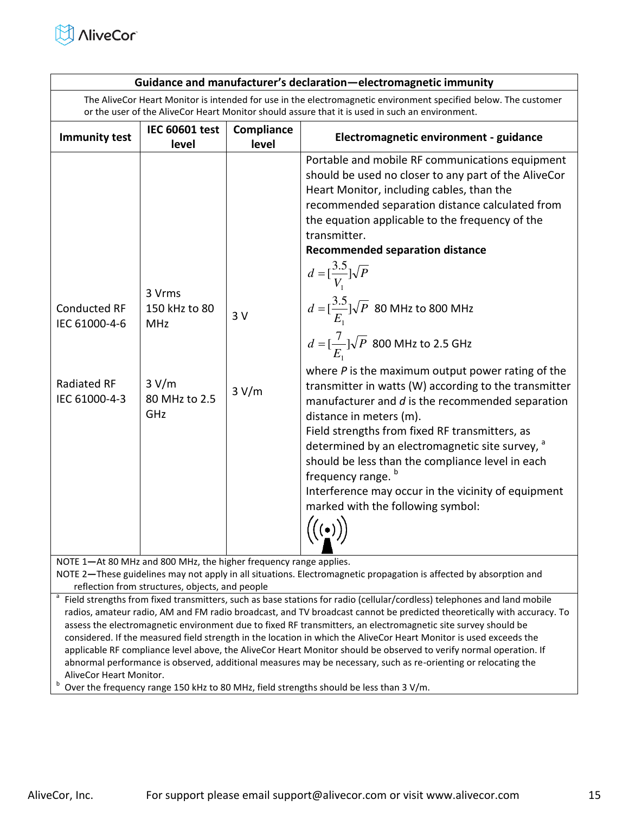

| Guidance and manufacturer's declaration-electromagnetic immunity                                                                                                                                                                                                                                                                                                                                                                                                                                                                                                                                                                                                                                                                                                                                                                                                                                                                                                                                                                                                                                                                                                                                                                                                                                                                                                                                                                                                                                                                                                                                |                                |                     |                                        |  |
|-------------------------------------------------------------------------------------------------------------------------------------------------------------------------------------------------------------------------------------------------------------------------------------------------------------------------------------------------------------------------------------------------------------------------------------------------------------------------------------------------------------------------------------------------------------------------------------------------------------------------------------------------------------------------------------------------------------------------------------------------------------------------------------------------------------------------------------------------------------------------------------------------------------------------------------------------------------------------------------------------------------------------------------------------------------------------------------------------------------------------------------------------------------------------------------------------------------------------------------------------------------------------------------------------------------------------------------------------------------------------------------------------------------------------------------------------------------------------------------------------------------------------------------------------------------------------------------------------|--------------------------------|---------------------|----------------------------------------|--|
| The AliveCor Heart Monitor is intended for use in the electromagnetic environment specified below. The customer<br>or the user of the AliveCor Heart Monitor should assure that it is used in such an environment.                                                                                                                                                                                                                                                                                                                                                                                                                                                                                                                                                                                                                                                                                                                                                                                                                                                                                                                                                                                                                                                                                                                                                                                                                                                                                                                                                                              |                                |                     |                                        |  |
| <b>Immunity test</b>                                                                                                                                                                                                                                                                                                                                                                                                                                                                                                                                                                                                                                                                                                                                                                                                                                                                                                                                                                                                                                                                                                                                                                                                                                                                                                                                                                                                                                                                                                                                                                            | <b>IEC 60601 test</b><br>level | Compliance<br>level | Electromagnetic environment - guidance |  |
| Portable and mobile RF communications equipment<br>should be used no closer to any part of the AliveCor<br>Heart Monitor, including cables, than the<br>recommended separation distance calculated from<br>the equation applicable to the frequency of the<br>transmitter.<br><b>Recommended separation distance</b><br>$d = \left[\frac{3.5}{V}\right] \sqrt{P}$<br>3 Vrms<br>$d = \left[\frac{3.5}{E_1}\right] \sqrt{P}$ 80 MHz to 800 MHz<br><b>Conducted RF</b><br>150 kHz to 80<br>3V<br>IEC 61000-4-6<br><b>MHz</b><br>$d = [\frac{7}{E}]\sqrt{P}$ 800 MHz to 2.5 GHz<br>where $P$ is the maximum output power rating of the<br>Radiated RF<br>3 V/m<br>transmitter in watts (W) according to the transmitter<br>3 V/m<br>80 MHz to 2.5<br>IEC 61000-4-3<br>manufacturer and $d$ is the recommended separation<br>GHz<br>distance in meters (m).<br>Field strengths from fixed RF transmitters, as<br>determined by an electromagnetic site survey, <sup>a</sup><br>should be less than the compliance level in each<br>frequency range. <sup>b</sup><br>Interference may occur in the vicinity of equipment<br>marked with the following symbol:<br>$\left(\left(\begin{matrix}\cdot\end{matrix}\right)\right)$<br>NOTE 1-At 80 MHz and 800 MHz, the higher frequency range applies.<br>NOTE 2-These guidelines may not apply in all situations. Electromagnetic propagation is affected by absorption and<br>reflection from structures, objects, and people<br>Field strengths from fixed transmitters, such as base stations for radio (cellular/cordless) telephones and land mobile |                                |                     |                                        |  |
|                                                                                                                                                                                                                                                                                                                                                                                                                                                                                                                                                                                                                                                                                                                                                                                                                                                                                                                                                                                                                                                                                                                                                                                                                                                                                                                                                                                                                                                                                                                                                                                                 |                                |                     |                                        |  |
|                                                                                                                                                                                                                                                                                                                                                                                                                                                                                                                                                                                                                                                                                                                                                                                                                                                                                                                                                                                                                                                                                                                                                                                                                                                                                                                                                                                                                                                                                                                                                                                                 |                                |                     |                                        |  |

radios, amateur radio, AM and FM radio broadcast, and TV broadcast cannot be predicted theoretically with accuracy. To assess the electromagnetic environment due to fixed RF transmitters, an electromagnetic site survey should be considered. If the measured field strength in the location in which the AliveCor Heart Monitor is used exceeds the applicable RF compliance level above, the AliveCor Heart Monitor should be observed to verify normal operation. If abnormal performance is observed, additional measures may be necessary, such as re-orienting or relocating the AliveCor Heart Monitor.

b Over the frequency range 150 kHz to 80 MHz, field strengths should be less than 3 V/m.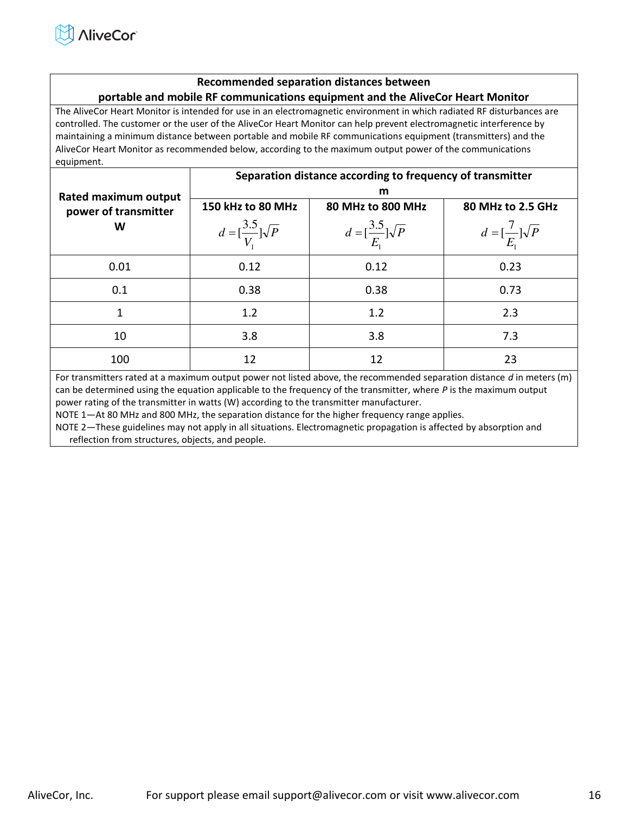#### **Recommended separation distances between portable and mobile RF communications equipment and the AliveCor Heart Monitor**

The AliveCor Heart Monitor is intended for use in an electromagnetic environment in which radiated RF disturbances are controlled. The customer or the user of the AliveCor Heart Monitor can help prevent electromagnetic interference by maintaining a minimum distance between portable and mobile RF communications equipment (transmitters) and the AliveCor Heart Monitor as recommended below, according to the maximum output power of the communications equipment.

|                                              | Separation distance according to frequency of transmitter |                                           |                                           |  |
|----------------------------------------------|-----------------------------------------------------------|-------------------------------------------|-------------------------------------------|--|
| Rated maximum output<br>power of transmitter | 150 kHz to 80 MHz                                         | m<br>80 MHz to 800 MHz                    | 80 MHz to 2.5 GHz                         |  |
| W                                            | $d = \left[\frac{3.5}{V}\right] \sqrt{P}$                 | $d = \left[\frac{3.5}{E}\right] \sqrt{P}$ | $d = \left[\frac{7}{E_1}\right] \sqrt{P}$ |  |
| 0.01                                         | 0.12                                                      | 0.12                                      | 0.23                                      |  |
| 0.1                                          | 0.38                                                      | 0.38                                      | 0.73                                      |  |
| 1                                            | 1.2                                                       | 1.2                                       | 2.3                                       |  |
| 10                                           | 3.8                                                       | 3.8                                       | 7.3                                       |  |
| 100                                          | 12                                                        | 12                                        | 23                                        |  |

For transmitters rated at a maximum output power not listed above, the recommended separation distance *d* in meters (m) can be determined using the equation applicable to the frequency of the transmitter, where *P* is the maximum output power rating of the transmitter in watts (W) according to the transmitter manufacturer.

NOTE 1—At 80 MHz and 800 MHz, the separation distance for the higher frequency range applies.

NOTE 2—These guidelines may not apply in all situations. Electromagnetic propagation is affected by absorption and reflection from structures, objects, and people.